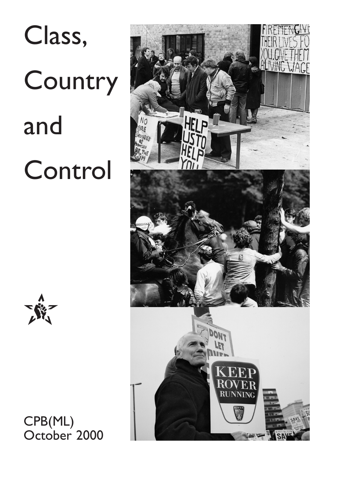# Class, **Country** and Control



CPB(ML) October 2000

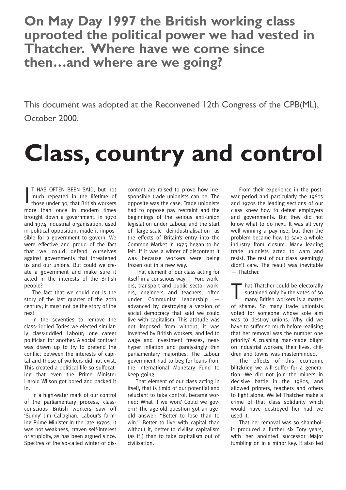**On May Day 1997 the British working class uprooted the political power we had vested in Thatcher. Where have we come since then…and where are we going?**

This document was adopted at the Reconvened 12th Congress of the CPB(ML), October 2000.

### **Class, country and control**

I T HAS OFTEN BEEN SAID, but not much repeated in the lifetime of those under 30, that British workers more than once in modern times brought down a government. In 1970 and 1974 industrial organisation, used in political opposition, made it impossible for a government to govern. We were effective and proud of the fact that we could defend ourselves against governments that threatened us and our unions. But could we create a government and make sure it acted in the interests of the British people?

The fact that we could not is the story of the last quarter of the 20th century; it must not be the story of the next.

In the seventies to remove the class-riddled Tories we elected similarly class-riddled Labour; one career politician for another. A social contract was drawn up to try to pretend the conflict between the interests of capital and those of workers did not exist. This created a political life so suffocating that even the Prime Minister Harold Wilson got bored and packed it in.

In a high-water mark of our control of the parliamentary process, classconscious British workers saw off 'Sunny' Jim Callaghan, Labour's farming Prime Minister in the late 1970s. It was not weakness, craven self-interest or stupidity, as has been argued since. Spectres of the so-called winter of discontent are raised to prove how irresponsible trade unionists can be. The opposite was the case. Trade unionists had to oppose pay restraint and the beginnings of the serious anti-union legislation under Labour, and the start of large-scale deindustrialisation as the effects of Britain's entry into the Common Market in 1975 began to be felt. If it was a winter of discontent it was because workers were being frozen out in a new way.

That element of our class acting for itself in a conscious way — Ford workers, transport and public sector workers, engineers and teachers, often under Communist leadership advanced by destroying a version of social democracy that said we could live with capitalism. This attitude was not imposed from without, it was invented by British workers, and led to wage and investment freezes, nearhyper inflation and paralysingly thin parliamentary majorities. The Labour government had to beg for loans from the International Monetary Fund to keep going.

That element of our class acting in itself, that is timid of our potential and reluctant to take control, became worried: What if we won? Could we govern? The age-old question got an ageold answer: "Better to lose than to win." Better to live with capital than without it, better to civilise capitalism (as if!) than to take capitalism out of civilisation.

From their experience in the postwar period and particularly the 1960s and 1970s the leading sections of our class knew how to defeat employers and governments. But they did not know what to do next. It was all very well winning a pay rise, but then the problem became how to save a whole industry from closure. Many leading trade unionists acted to warn and resist. The rest of our class seemingly didn't care. The result was inevitable — Thatcher.

" hat Thatcher could be electorally sustained only by the votes of so many British workers is a matter of shame. So many trade unionists voted for someone whose sole aim was to destroy unions. Why did we have to suffer so much before realising that her removal was the number one priority? A crushing man-made blight on industrial workers, their lives, children and towns was masterminded.

The effects of this economic blitzkrieg we will suffer for a generation. We did not join the miners in decisive battle in the 1980s, and allowed printers, teachers and others to fight alone. We let Thatcher make a crime of that class solidarity which would have destroyed her had we used it.

That her removal was so shambolic produced a further six Tory years, with her anointed successor Major fumbling on in a minor key. It also led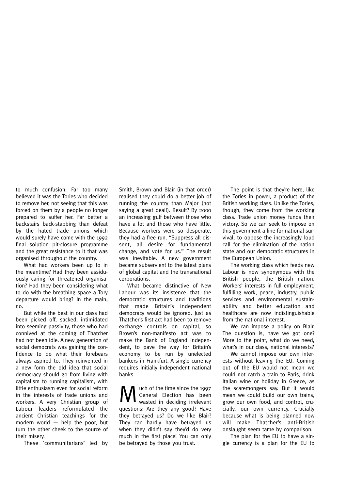to much confusion. Far too many believed it was the Tories who decided to remove her, not seeing that this was forced on them by a people no longer prepared to suffer her. Far better a backstairs back-stabbing than defeat by the hated trade unions which would surely have come with the 1992 final solution pit-closure programme and the great resistance to it that was organised throughout the country.

What had workers been up to in the meantime? Had they been assiduously caring for threatened organisation? Had they been considering what to do with the breathing space a Tory departure would bring? In the main, no.

But while the best in our class had been picked off, sacked, intimidated into seeming passivity, those who had connived at the coming of Thatcher had not been idle. A new generation of social democrats was gaining the confidence to do what their forebears always aspired to. They reinvented in a new form the old idea that social democracy should go from living with capitalism to running capitalism, with little enthusiasm even for social reform in the interests of trade unions and workers. A very Christian group of Labour leaders reformulated the ancient Christian teachings for the modern world — help the poor, but turn the other cheek to the source of their misery.

These 'communitarians' led by

Smith, Brown and Blair (in that order) realised they could do a better job of running the country than Major (not saying a great deal!). Result? By 2000 an increasing gulf between those who have a lot and those who have little. Because workers were so desperate, they had a free run. "Suppress all dissent, all desire for fundamental change, and vote for us." The result was inevitable. A new government became subservient to the latest plans of global capital and the transnational corporations.

What became distinctive of New Labour was its insistence that the democratic structures and traditions that made Britain's independent democracy would be ignored. Just as Thatcher's first act had been to remove exchange controls on capital, so Brown's non-manifesto act was to make the Bank of England independent, to pave the way for Britain's economy to be run by unelected bankers in Frankfurt. A single currency requires initially independent national banks.

Much of the time since the 1997<br>General Election has been<br>wasted in deciding irrelevant General Election has been wasted in deciding irrelevant questions: Are they any good? Have they betrayed us? Do we like Blair? They can hardly have betrayed us when they didn't say they'd do very much in the first place! You can only be betrayed by those you trust.

The point is that they're here, like the Tories in power, a product of the British working class. Unlike the Tories, though, they come from the working class. Trade union money funds their victory. So we can seek to impose on this government a line for national survival, to oppose the increasingly loud call for the elimination of the nation state and our democratic structures in the European Union.

The working class which feeds new Labour is now synonymous with the British people, the British nation. Workers' interests in full employment, fulfilling work, peace, industry, public services and environmental sustainability and better education and healthcare are now indistinguishable from the national interest.

We can impose a policy on Blair. The question is, have we got one? More to the point, what do we need, what's in our class, national interests?

We cannot impose our own interests without leaving the EU. Coming out of the EU would not mean we could not catch a train to Paris, drink Italian wine or holiday in Greece, as the scaremongers say. But it would mean we could build our own trains, grow our own food, and control, crucially, our own currency. Crucially because what is being planned now will make Thatcher's anti-British onslaught seem tame by comparison.

The plan for the EU to have a single currency is a plan for the EU to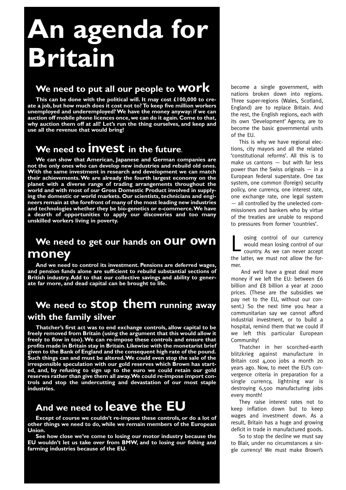## **An agenda for Britain**

#### **We need to put all our people to work**

**This can be done with the political will. It may cost £100,000 to create a job, but how much does it cost not to? To keep five million workers unemployed and underemployed? We have the money anyway: if we can auction off mobile phone licences once,we can do it again.Come to that, why auction them off at all? Let's run the thing ourselves, and keep and use all the revenue that would bring!**

#### **We need to invest in the future.**

**We can show that American, Japanese and German companies are not the only ones who can develop new industries and rebuild old ones. With the same investment in research and development we can match their achievements.We are already the fourth largest economy on the planet with a diverse range of trading arrangements throughout the world and with most of our Gross Domestic Product involved in supplying the domestic or world markets. Our scientists, technicians and engineers remain at the forefront of many of the most leading new industries and technologies whether they be bio-genetics or e-commerce.We have a dearth of opportunities to apply our discoveries and too many unskilled workers living in poverty.**

#### We need to get our hands on OUI<sup>T</sup> OWI **money**

**And we need to control its investment. Pensions are deferred wages, and pension funds alone are sufficient to rebuild substantial sections of British industry. Add to that our collective savings and ability to generate far more, and dead capital can be brought to life.**

#### **We need to stop them running away with the family silver**

**Thatcher's first act was to end exchange controls, allow capital to be freely removed from Britain (using the argument that this would allow it freely to flow in too).We can re-impose these controls and ensure that profits made in Britain stay in Britain. Likewise with the monetarist brief given to the Bank of England and the consequent high rate of the pound. Such things can and must be altered.We could even stop the sale of the irresponsible speculation with our gold reserves which Brown has started, and, by refusing to sign up to the euro we could retain our gold reserves rather than give them all away.We could re-impose import controls and stop the undercutting and devastation of our most staple industries.**

#### **And we need to leave the EU**

**Except of course we couldn't re-impose these controls, or do a lot of other things we need to do, while we remain members of the European Union.**

**See how close we've come to losing our motor industry because the EU wouldn't let us take over from BMW, and to losing our fishing and farming industries because of the EU.**

become a single government, with nations broken down into regions. Three super-regions (Wales, Scotland, England) are to replace Britain. And the rest, the English regions, each with its own 'Development' Agency, are to become the basic governmental units of the EU.

This is why we have regional elections, city mayors and all the related 'constitutional reforms'. All this is to make us cantons — but with far less power than the Swiss originals — in a European federal superstate. One tax system, one common (foreign) security policy, one currency, one interest rate, one exchange rate, one legal system — all controlled by the unelected commissioners and bankers who by virtue of the treaties are unable to respond to pressures from former 'countries'.

osing control of our currency would mean losing control of our country. As we can never accept the latter, we must not allow the former.

And we'd have a great deal more money if we left the EU: between £6 billion and £8 billion a year at 2000 prices. (These are the subsidies we pay net to the EU, without our consent.) So the next time you hear a communitarian say we cannot afford industrial investment, or to build a hospital, remind them that we could if we left this particular European Community!

Thatcher in her scorched-earth blitzkrieg against manufacture in Britain cost 4,000 jobs a month 20 years ago. Now, to meet the EU's convergence criteria in preparation for a single currency, lightning war is destroying 6,500 manufacturing jobs every month!

They raise interest rates not to keep inflation down but to keep wages and investment down. As a result, Britain has a huge and growing deficit in trade in manufactured goods.

So to stop the decline we must say to Blair, under no circumstances a single currency! We must make Brown's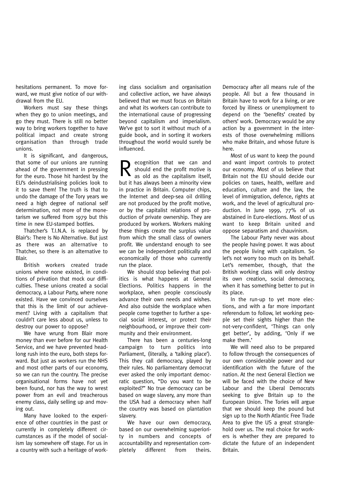hesitations permanent. To move forward, we must give notice of our withdrawal from the EU.

Workers must say these things when they go to union meetings, and go they must. There is still no better way to bring workers together to have political impact and create strong organisation than through trade unions.

It is significant, and dangerous, that some of our unions are running ahead of the government in pressing for the euro. Those hit hardest by the EU's deindustrialising policies look to it to save them! The truth is that to undo the damage of the Tory years we need a high degree of national self determination, not more of the monetarism we suffered from 1979 but this time in new EU-stamped bottles.

Thatcher's T.I.N.A. is replaced by Blair's: There Is No Alternative. But just as there was an alternative to Thatcher, so there is an alternative to Blair.

British workers created trade unions where none existed, in conditions of privation that mock our difficulties. These unions created a social democracy, a Labour Party, where none existed. Have we convinced ourselves that this is the limit of our achievement? Living with a capitalism that couldn't care less about us, unless to destroy our power to oppose?

We have wrung from Blair more money than ever before for our Health Service, and we have prevented headlong rush into the euro, both steps forward. But just as workers run the NHS and most other parts of our economy, so we can run the country. The precise organisational forms have not yet been found, nor has the way to wrest power from an evil and treacherous enemy class, daily selling up and moving out.

Many have looked to the experience of other countries in the past or currently in completely different circumstances as if the model of socialism lay somewhere off stage. For us in a country with such a heritage of working class socialism and organisation and collective action, we have always believed that we must focus on Britain and what its workers can contribute to the international cause of progressing beyond capitalism and imperialism. We've got to sort it without much of a guide book, and in sorting it workers throughout the world would surely be influenced.

Recognition that we can and<br>should end the profit motive is<br>as old as the capitalism itself, should end the profit motive is as old as the capitalism itself, but it has always been a minority view in practice in Britain. Computer chips, the Internet and deep-sea oil drilling are not produced by the profit motive, or by the capitalist relations of production of private ownership. They are produced by workers. Workers making these things create the surplus value from which the small class of owners profit. We understand enough to see we can be independent politically and economically of those who currently run the place.

We should stop believing that politics is what happens at General Elections. Politics happens in the workplace, when people consciously advance their own needs and wishes. And also outside the workplace when people come together to further a special social interest, or protect their neighbourhood, or improve their community and their environment.

There has been a centuries-long campaign to turn politics into Parliament, (literally, a 'talking place'). This they call democracy, played by their rules. No parliamentary democrat ever asked the only important democratic question, "Do you want to be exploited?" No true democracy can be based on wage slavery, any more than the USA had a democracy when half the country was based on plantation slavery.

We have our own democracy, based on our overwhelming superiority in numbers and concepts of accountability and representation completely different from theirs.

Democracy after all means rule of the people. All but a few thousand in Britain have to work for a living, or are forced by illness or unemployment to depend on the 'benefits' created by others' work. Democracy would be any action by a government in the interests of those overwhelming millions who make Britain, and whose future is here.

Most of us want to keep the pound and want import controls to protect our economy. Most of us believe that Britain not the EU should decide our policies on taxes, health, welfare and education, culture and the law, the level of immigration, defence, rights at work, and the level of agricultural production. In June 1999, 77% of us abstained in Euro-elections. Most of us want to keep Britain united and oppose separatism and chauvinism.

The Labour Party never was about the people having power. It was about the people living with capitalism. So let's not worry too much on its behalf. Let's remember, though, that the British working class will only destroy its own creation, social democracy, when it has something better to put in its place.

In the run-up to yet more elections, and with a far more important referendum to follow, let working people set their sights higher than the not-very-confident, 'Things can only get better', by adding, 'Only if we make them.'

We will need also to be prepared to follow through the consequences of our own considerable power and our identification with the future of the nation. At the next General Election we will be faced with the choice of New Labour and the Liberal Democrats seeking to give Britain up to the European Union. The Tories will argue that we should keep the pound but sign up to the North Atlantic Free Trade Area to give the US a great stranglehold over us. The real choice for workers is whether they are prepared to dictate the future of an independent Britain.